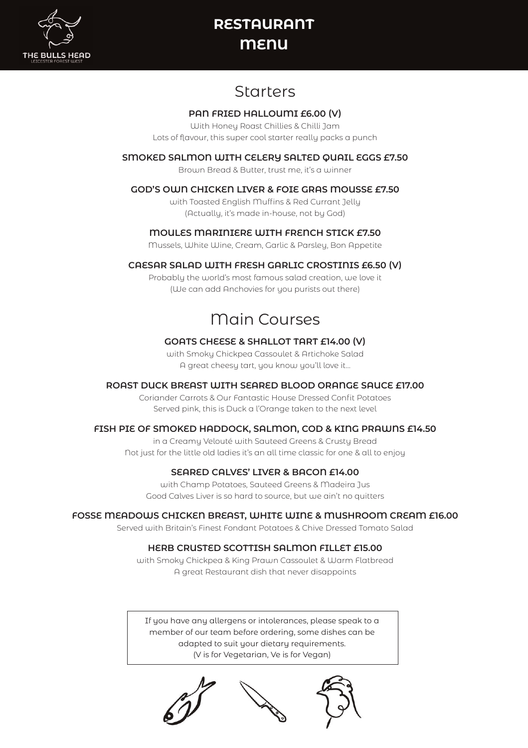

# **RESTAURANT MENU**

## Starters

### **PAN FRIED HALLOUMI £6.00 (V)**

With Honey Roast Chillies & Chilli Jam Lots of flavour, this super cool starter really packs a punch

### **SMOKED SALMON WITH CELERY SALTED QUAIL EGGS £7.50**

Brown Bread & Butter, trust me, it's a winner

### **GOD'S OWN CHICKEN LIVER & FOIE GRAS MOUSSE £7.50**

with Toasted English Muffins & Red Currant Jelly (Actually, it's made in-house, not by God)

### **MOULES MARINIERE WITH FRENCH STICK £7.50**

Mussels, White Wine, Cream, Garlic & Parsley, Bon Appetite

### **CAESAR SALAD WITH FRESH GARLIC CROSTINIS £6.50 (V)**

Probably the world's most famous salad creation, we love it (We can add Anchovies for you purists out there)

# Main Courses

### **GOATS CHEESE & SHALLOT TART £14.00 (V)**

with Smoky Chickpea Cassoulet & Artichoke Salad A great cheesy tart, you know you'll love it…

### **ROAST DUCK BREAST WITH SEARED BLOOD ORANGE SAUCE £17.00**

Coriander Carrots & Our Fantastic House Dressed Confit Potatoes Served pink, this is Duck a l'Orange taken to the next level

### **FISH PIE OF SMOKED HADDOCK, SALMON, COD & KING PRAWNS £14.50**

in a Creamy Velouté with Sauteed Greens & Crusty Bread Not just for the little old ladies it's an all time classic for one & all to enjoy

## **SEARED CALVES' LIVER & BACON £14.00**

with Champ Potatoes, Sauteed Greens & Madeira Jus Good Calves Liver is so hard to source, but we ain't no quitters

### **FOSSE MEADOWS CHICKEN BREAST, WHITE WINE & MUSHROOM CREAM £16.00**

Served with Britain's Finest Fondant Potatoes & Chive Dressed Tomato Salad

### **HERB CRUSTED SCOTTISH SALMON FILLET £15.00**

with Smoky Chickpea & King Prawn Cassoulet & Warm Flatbread A great Restaurant dish that never disappoints

If you have any allergens or intolerances, please speak to a member of our team before ordering, some dishes can be adapted to suit your dietary requirements. (V is for Vegetarian, Ve is for Vegan)